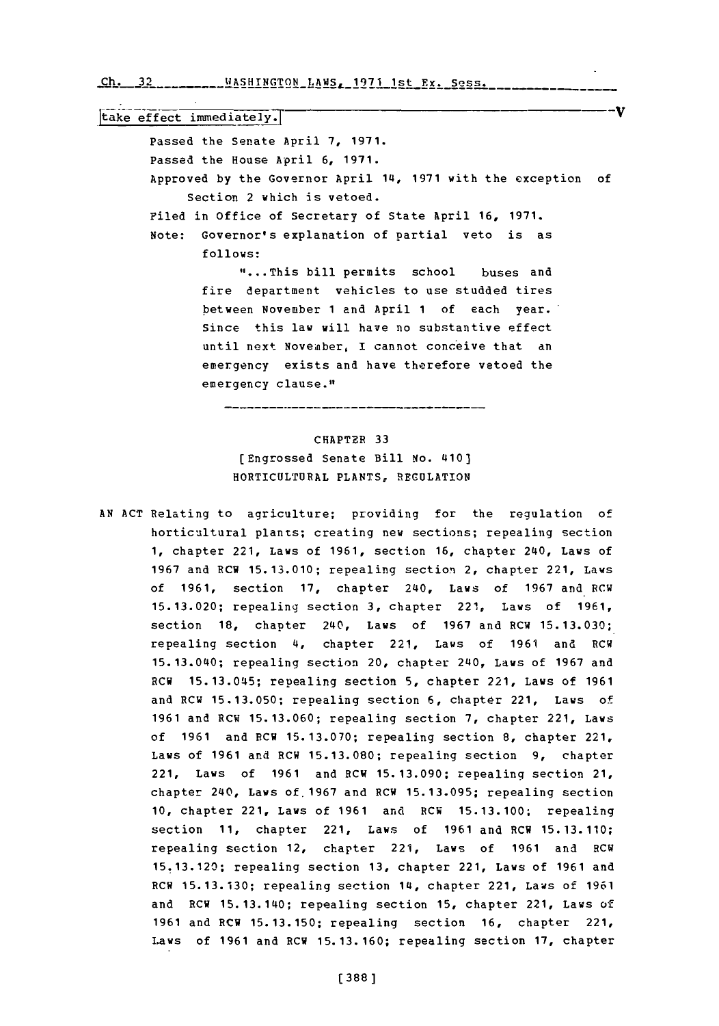Ch. 32 \_\_\_\_\_\_\_\_\_WASHINGTON\_LAMS. 1971 1st Ex. Sess.

 $\overline{\text{take effect immediately.}}$ Passed the Senate April **7, 1971.** Passed the House April **6, 1971.** Approved **by** the Governor April 14, **1971** with the exception of Section 2 which is vetoed. Filed in Office of Secretary of State April **16, 1971.** Note: Governor's explanation of partial veto is as **follows: \* ...This** bill permits school buses and fire department vehicles to use studded tires between November **1** and April **1** of each year. Since this law will have no substantive effect until next November, I cannot conceive that an emergency exists and have therefore vetoed the emergency clause."

--11

## CHAPTER **33** (Engrossed Senate Bill No. 410] HORTICULTURAL **PLANTS, REGULATION**

**AN ACT** Relating to agriculture; providing for the regulation of horticultural plants; creating new sections; repealing section **1,** chapter 221, Laws of **1961,** section **16,** chapter 240, Laws of **1967** and RCW **15. 13.010;** repealing section~ 2, chapter 221, Laws of **1961,** section **17,** chapter 240, Laws of **1967** and RCW **15.13.020;** repealing section **3,** chapter 221, Laws of **1961,** section **18,** chapter 240, Laws of **1967** and RCW **15.13.030;** repealing section 4, chapter 221, Laws of **1961** and RCW 15.13.040; repealing section 20, chapter 240, Laws of **1967** and RCW **15.13.045;** repealing section **5,** chapter 221, Laws of **1961** and RCW **15.13.050;** repealing section **6,** chapter 221, Laws of **1961** and RCW **15.13.060;** repealing section **7,** chapter 221, Laws of **1961** and PCW **15.13.070;** repealing section **8,** chapter 221, Laws of **1961** and RCW **15.13.080;** repealing section **9,** chapter 221, Laws of **1961** and RCW **15.13.090;** repealing section 21, chapter 240, Laws of.1967 and RCW **15.13.095;** repealing section **10,** chapter 221, Laws of **1961** and RCW **15.13.100;** repealing section **11,** chapter 221, Laws of **1961** and RCW **15.13.110;** repealing section 12, chapter 221, Laws of **1961** and RCW **15.13.120;** repealing section **13,** chapter 221, Laws of **1961** and RCW **15.13.130;** repealing section 14, chapter 221, Laws of **1961** and RCW 15.13.140; repealing section **15,** chapter 221, Laws **of 1961** and RCW **15. 13.150;** repealing section **16,** chapter 221, Laws of **1961** and RCW **15.13.160;** repealing section **17,** chapter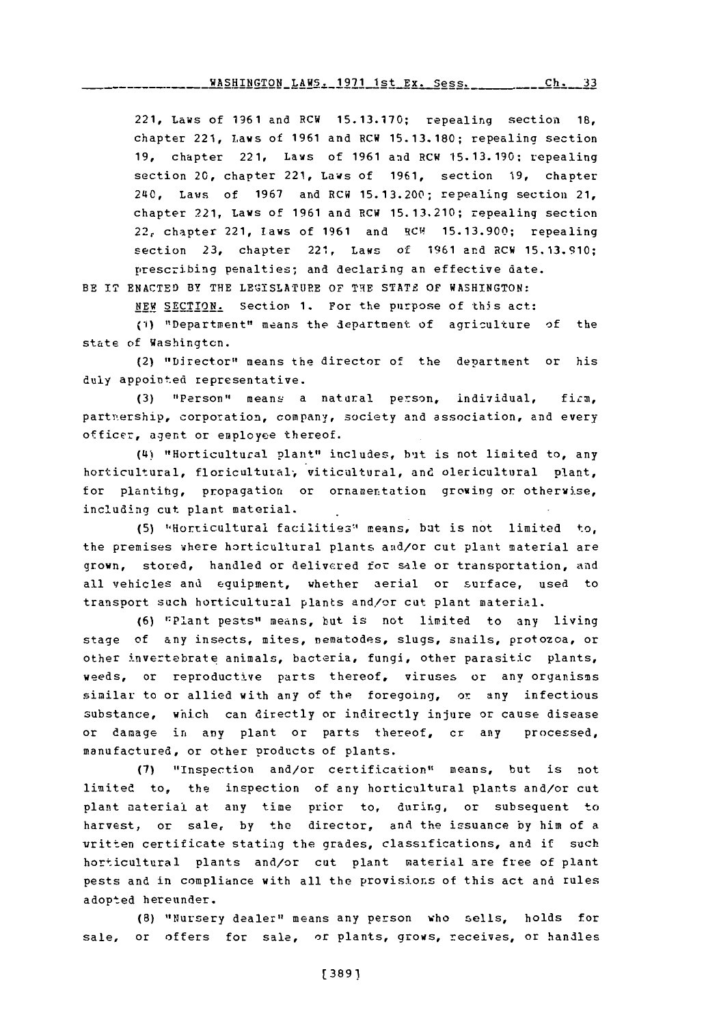221, Laws of 1961 and RCW 15.13.170; repealing section 18, chapter 221, Laws of 1961 and RCW 15.13.180; repealing section<br>19, chapter 221, Laws of 1961 and RCW 15.13.190; repealing section 20, chapter 221, Laws of **1961,** section **19,** chapter 240, Laws of **1967** and RCW **15.13.200;** repealing section 21, chapter 221, Laws of **1961** and RCW **15.13.210;** repealing section 22, chapter 221, laws of **1961** and RCF **15.13.900;** repealing section **23,** chapter 221, Laws of **1961** and RCW **15.13.910;** prescribing penalties; and declaring an effective date.

BE IT **ENACTED** BY THE **LEGISLATURE** OF THE **STATE** OF **WASHINGTON:**

NEW SECTION. Section 1. For the purpose of this act:

(1) "Department" means the department of agriculture of the state of Washington.

(2) "Director" means the director of the department or his duly appointed representative.

(3) "Person" means a natural person, individual, firm, partmership, corporation, company, society and association, and every officer, agent or employee thereof.

**(L4)** "Horticultural plant" includes, but is not limited to, any horticultural, floricultural, viticultural, and olericultural plant, for plantihg, propagation or ornamentation growing or otherwise, including cut plant material.

(5) "Horticultural facilities" means, but is not limited to, the premises where horticultural plants and/or cut plant material are grown, stored, handled or delivered for sale or transportation, and all vehicles and equipment, whether aerial or surface, used to transport such horticultural plants and/or cat plant material.

**(6)** "Plant pests" means, but is not limited to any living stage of any insects, mites, nematodes, slugs, snails, protozoa, or other invertebrate animals, bacteria, fungi, other parasitic plants, weeds, or reproductive parts thereof, viruses or any organisms similar to or allied with any of the foregoing, or any infectious substance, which can directly or indirectly injure or cause disease or damage in any plant or parts thereof, cr any processed, manufactured, or other products of plants.

**(7)** "Inspection and/or certification" means, but is not limited to, the inspection of any horticultural plants and/or cut plant material at any time prior to, during, or subsequent to harvest, or sale, **by** the director, and the issuance **by** him of a written certificate statiag the grades, classifications, and if such horticultural plants and/or cut plant material are free of plant pests and in compliance with all the provisions of this act and rules adopted hereunder.

**(8)** "Nursery dealer" means any person who sells, holds for sale, or offers for sale, or plants, grows, receives, or handles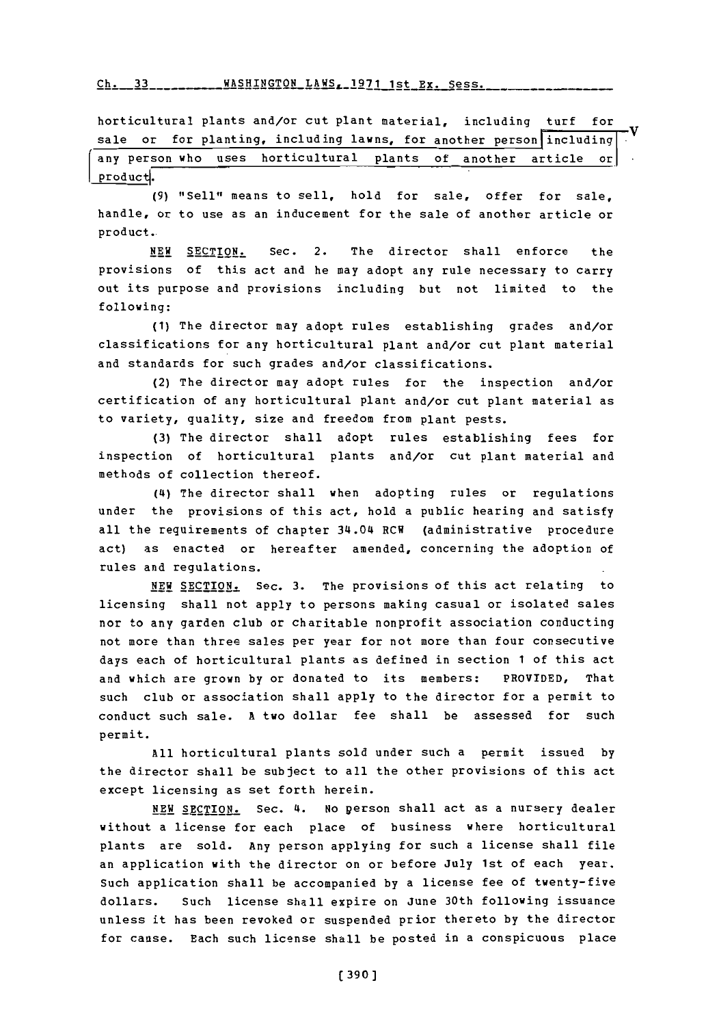Ch. 33 \_\_\_\_\_\_\_\_ WASHINGTON LAWS, 1971 1st Ex. Sess.

horticultural plants and/or cut plant material, including turf for<br>sale or for planting, including lawns, for another person including any person who uses horticultural plants of another article or

product.

**(9)** "Sell" means to sell, hold for sale, offer for sale, handle, or to use as an inducement for the sale of another article or product.

**NEW SECTION.** Sec. 2. The director shall enforce the provisions of this act and he may adopt any rule necessary to carry out its purpose and provisions including but not limited to the following:

**(1)** The director may adopt rules establishing grades and/or classifications for any horticultural plant and/or cut plant material and standards for such grades and/or classifications.

(2) The director may adopt rules for the inspection and/or certification of any horticultural plant and/or cut plant material as to variety, quality, size and freedom from plant pests.

**(3)** The director shall adopt rules establishing fees for inspection of horticultural plants and/or cut plant material and methods of collection thereof.

(14) The director shall when adopting rules or regulations under the provisions of this act, hold a public hearing and satisfy all the requirements of chapter 34.04 RCW (administrative procedure act) as enacted or hereafter amended, concerning the adoption of rules and regulations.

**NEW** SECTION. Sec. **3.** The provisions of this act relating to licensing shall not apply to persons making casual or isolated sales nor to any garden club or charitable nonprofit association conducting not more than three sales per year for not more than four consecutive days each of horticultural plants as defined in section **1** of this act and which are grown **by** or donated to its members: PROVIDED, That such club or association shall apply to the director for a permit to conduct such sale. **A** two dollar fee shall be assessed for such permit.

**All** horticultural plants sold under such a permit issued **by** the director shall be subject to all the other provisions of this act except licensing as set forth herein.

NEW SECTION. Sec. 4. No person shall act as a nursery dealer without a license for each place of business where horticultural plants are sold. Any person applying for such a license shall file an application with the director on or before July 1st of each year. Such application shall be accompanied **by** a license fee of twenty-five dollars. Such license shall expire on June 30th following issuance unless it has been revoked or suspended prior thereto **by** the director for cause. Each such license shall be posted in a conspicuous place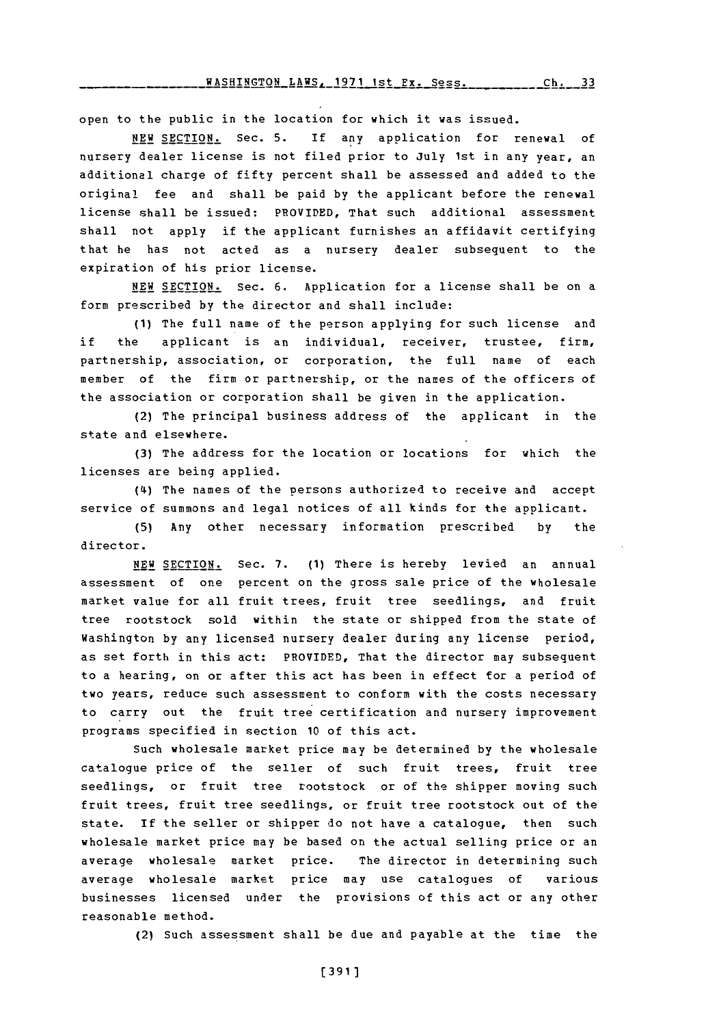open to the public in the location for which it was issued.

**NEW SECTION.** Sec. **5. If** any application for renewal of nursery dealer license is not filed prior to July 1st in any year, an additional charge of fifty percent shall be assessed and added to the original fee and shall be paid **by** the applicant before the renewal license shall be issued: PROVIDED, That such additional assessment shall not apply if the applicant furnishes an affidavit certifying that he has not acted as a nursery dealer subsequent to the expiration of his prior license.

**NEW SECTION.** Sec. **6.** Application for a license shall be on a form prescribed **by** the director and shall include:

**(1)** The full name of the person applying for such license and if the applicant is an individual, receiver, trustee, firm, partnership, association, or corporation, the full name of each member of the firm or partnership, or the names of the officers of the association or corporation shall be given in the application.

(2) The principal business address of the applicant in the state and elsewhere.

**(3)** The address for the location or locations for which the licenses are being applied.

(4i) The names of the persons authorized to receive and accept service of summons and legal notices of all kinds for the applicant.

**(5)** Any other necessary information prescribed **by** the director.

NEW SECTION. Sec. 7. (1) There is hereby levied an annual assessment of one percent on the gross sale price of the wholesale market value for all fruit trees, fruit tree seedlings, and fruit tree rootstock sold within the state or shipped from the state of Washington **by** any licensed nursery dealer during any license period, as set forth in this act: PROVIDED, That the director may subsequent to a hearing, on or after this act has been in effect for a period of two years, reduce such assessment to conform with the costs necessary to carry out the fruit tree certification and nursery improvement programs specified in section **10** of this act.

Such wholesale market price may be determined **by** the wholesale catalogue price of the seller of such fruit trees, fruit tree seedlings, or fruit tree rootstock or of the shipper moving such fruit trees, fruit tree seedlings, or fruit tree rootstock out of the state. If the seller or shipper do not have a catalogue, then such wholesale market price may be based on the actual selling price or an average wholesale market price. The director in determining such average wholesale market price may use catalogues of various businesses licensed under the provisions of this act or any other reasonable method.

(2) such assessment shall be due and payable at the time the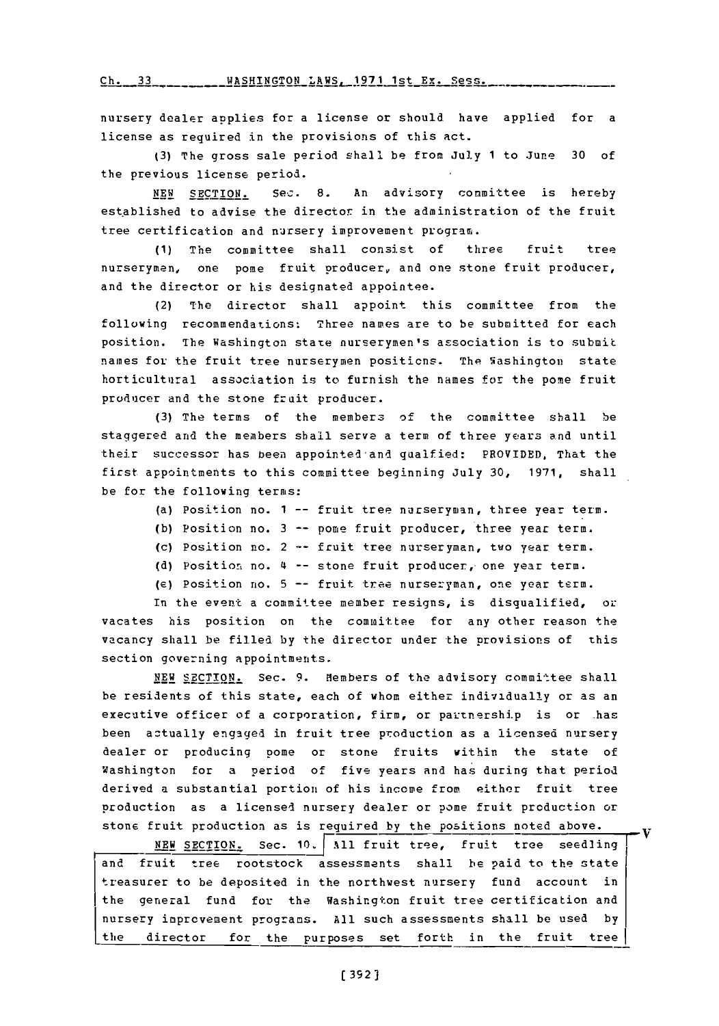**Ch. 33 WASHTNgTON** LAWS. **1971** 1st Ex. Sess.

nursery dealer applies for a license or should have applied for a license as reguired in the provisions of this act.

**(3)** The gross sale period shall be from Jul~y **1** to June **30** of the previous license period.

**NEW** SECTION. Sec. **8.** An advisory committee is hereby established to advise the director in the administration of the fruit tree certification and nursery improvement program.

**(1)** The committee shall consist of three fruit tree nurserymen, one pome fruit producer, and one stone fruit producer, and the director or his designated appointee.

(2) The director shall appoint this committee from the following recommendations: Three names are to be submitted for each position. The Washington state nurserymen's association is to submit names for the fruit tree nurserymen positions. The Washington state horticultural association is to furnish the names for the pome fruit producer and the stone fruit producer.

**(3)** The terms of the members of the committee shall be staggered and the members shall serve a term of three years and until -their successor has been appointed-and gualfied: PROVIDED, That the first appointments to this committee beginning July **30, 1971,** shall be for the following terms:

- (a) Position no. **1** -- fruit tree nurseryman, three year term.
- **(b)** Position no. **3** -- pore fruit producer, three year term.
- (c) Position no. 2 -- fruit tree nurseryman, two year term.
- **(d)** Position no. '4 -- stone fruit producer, one year term.
- (e) Position no. **5** -- fruit tree nurseryman, one year term.

In the event a committee member resigns, is disqualified, or vacates his position on the committee for any other reason the vacancy shall be filled **by** the director under 'the provisions of this section governing appointments.

**NEW SECTION.** Sec. 9. Members of the advisory committee shall be residents of this state, each of whom either individually or as an executive officer of a corporation, firm, or partnership is or has been aztually engaged in fruit tree production as a licensed nursery dealer or producing pome or stone fruits within the state of Washington for a period of five years and has during that period derived a substantial portion of his income from either fruit tree production as a licensed nursery dealer or pome fruit production or stone fruit production as is required **by** the positions noted above.

NEW SECTION. Sec. 10. All fruit tree, fruit tree seedling and fruit tree rootstock assessments shall be paid to the state treasurer to be deposited in the northwest nursery fund account in the general fund for the Washington fruit tree certification and nursery inprovement programs. **All** such assessments shall be used **by** the director for the purposes set forth in the fruit treel

. V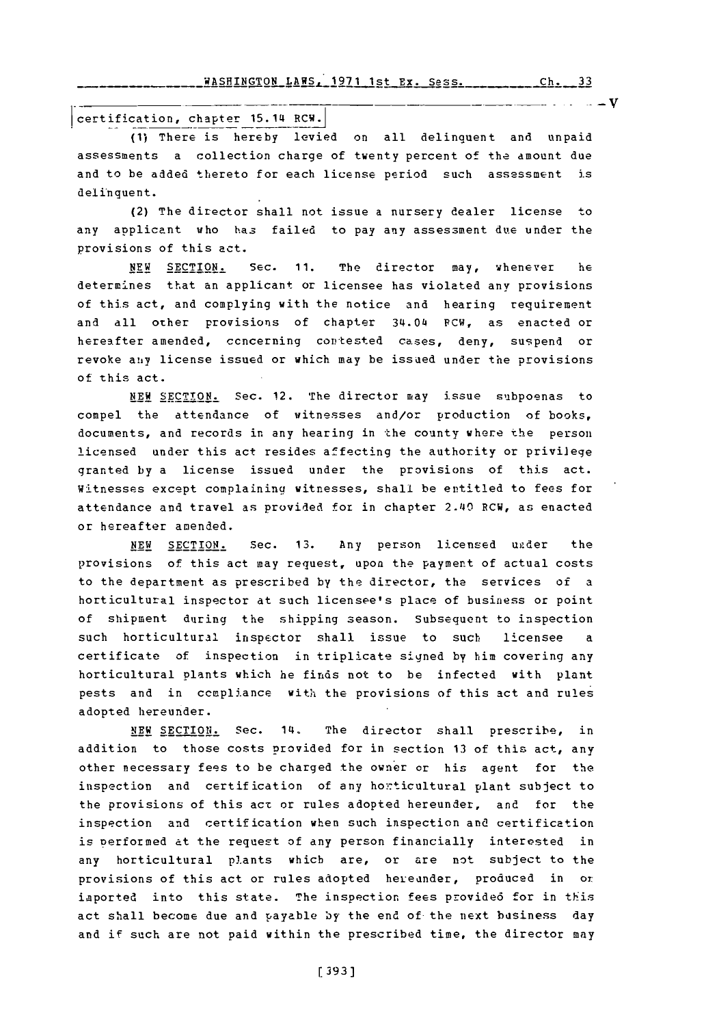WASHINGTON LAWS, 1971 1st Ex. Sess. rh- **33**

certification, chapter 15.14 RCW.

**(1)** There is hereby levied on all delinquent and unpaid assessments a collection charge of twenty percent of the amount due and to be aided thereto for each license period such assessment is delinquent.

(2) The director shall not issue a nursery dealer license to any applicant who has failed to pay any assessment due under the provisions of this act.

**NEW** SECTION. **SEC. 11.** The director may, whenever he determines that an applicant or licensee has violated any provisions of this act, and complying with the notice and hearing requirement and all other provisions of chapter 34.04 FCW, as enacted or hereafter amended, concerning contested cases, deny, suspend or revoke any license issued or which may be issued under the provisions of this act.

**NEW SECTION.** Sec. 12. The director may issue subpoenas to compel the attendance of witnesses and/or production of books, documents, and records in any hearing in the county where the person licensed under this act resides affecting the authority or privilege granted **by** a license issued under the provisions of this act. Witnesses except complaining witnesses, shall be entitled to fees for attendance and travel as provided for in chapter *2.40* RCW, as enacted or hereafter amended.

**NEW** SECTION. Sec. *13.* Any person licensed uader the provisions of this act may request, upon the payment of actual costs to the department as prescribed **by** the director, the services of a horticultural inspector at such licensee's place of business or point of shipment during the shipping season, Subsequent to inspection such horticultural inspector shall issue to such licensee a certificate of inspection in triplicate signed **by** him covering any horticultural Plants which he finds not to be infected with plant pests and in compliance with the provisions of this act and rules adopted hereunder.

NEW SECTION. Sec. 14. The director shall prescribe, in addition to those costs Provided for in section **13** of this act, any other necessary fees to be charged the owner or his agent for the inspection and certification of any horticultural plant subject to the provisions of this act or rules adopted hereunder, and for the inspection and certification when such inspection and certification is performed at the request of any person financially interested in any horticultural plants which are, or are not subject to the provisions of this act or rules adopted hereunder, produced in or imported into this state. The inspection fees provided for in this act shall become due and payable **by** the end of the next business day and if such are not paid within the prescribed time, the director may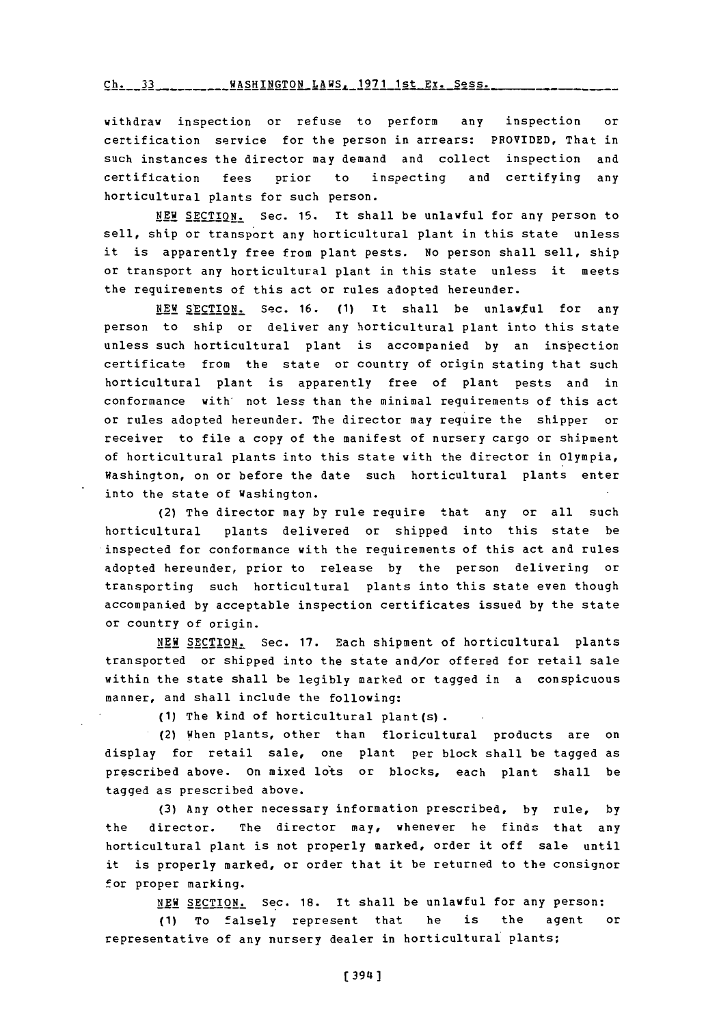rh- 11 WASRTN9TQN LAWS. **1971** 1st **Ex.** Sess.

withdraw inspection or refuse to perform any inspection or certification service for the person in arrears: PPOVIDED, That in such instances the director may demand and collect inspection and certification fees prior to inspecting and certifying any horticultural plants for such person.

**NEW** SECTION. Sec. **15.** It shall be unlawful for any person to sell, ship or transport any horticultural plant in this state unless it is apparently free from plant pests. No person shall sell, ship or transport any horticultural plant in this state unless it meets the requirements of this act or rules adopted hereunder.

NEW **SECTION.** Sec. **16. (1)** It shall be unlawful for any person to ship or deliver any horticultural plant into this state unless such horticultural plant is accompanied **by** an inspection certificate from the state or country of origin stating that such horticultural plant is apparently free of plant pests and in conformance with' not less than the minimal requirements of this act or rules adopted hereunder. The director may require the shipper or receiver to file a copy of the manifest of nursery cargo or shipment of horticultural plants into this state with the director in Olympia, Washington, on or before the date such horticultural plants enter into the state of Washington.

(2) The director may **by** rule require that any or all such horticultural plants delivered or shipped into this state be inspected for conformance with the requirements of this act and rules adopted hereunder, prior to release **by** the person delivering or transporting such horticultural plants into this state even though accompanied **by** acceptable inspection certificates issued **by** the state or country of origin.

**NEW SECTION.** Sec. **17.** Each shipment of horticultural plants transported or shipped into the state and/or offered for retail sale within the state shall be legibly marked or tagged in a conspicuous manner, and shall include the following:

**(1)** The kind of horticultural plant(s).

(2) When plants, other than floricultural products are on display for retail sale, one plant per block shall be tagged as prescribed above. on mixed lots or blocks, each plant shall be tagged as prescribed above.

**(3)** Any other necessary information prescribed, **by** rule, **by** the director. The director may, whenever he finds that any horticultural plant is not properly marked, order it off sale until it is properly marked, or order that it be returned to the consignor for proper marking.

**NEW SECTION.** Sec. **18.** It shall be unlawful for any person:

**(1)** To falsely represent that he is the agent or representative of any nursery dealer in horticultural plants;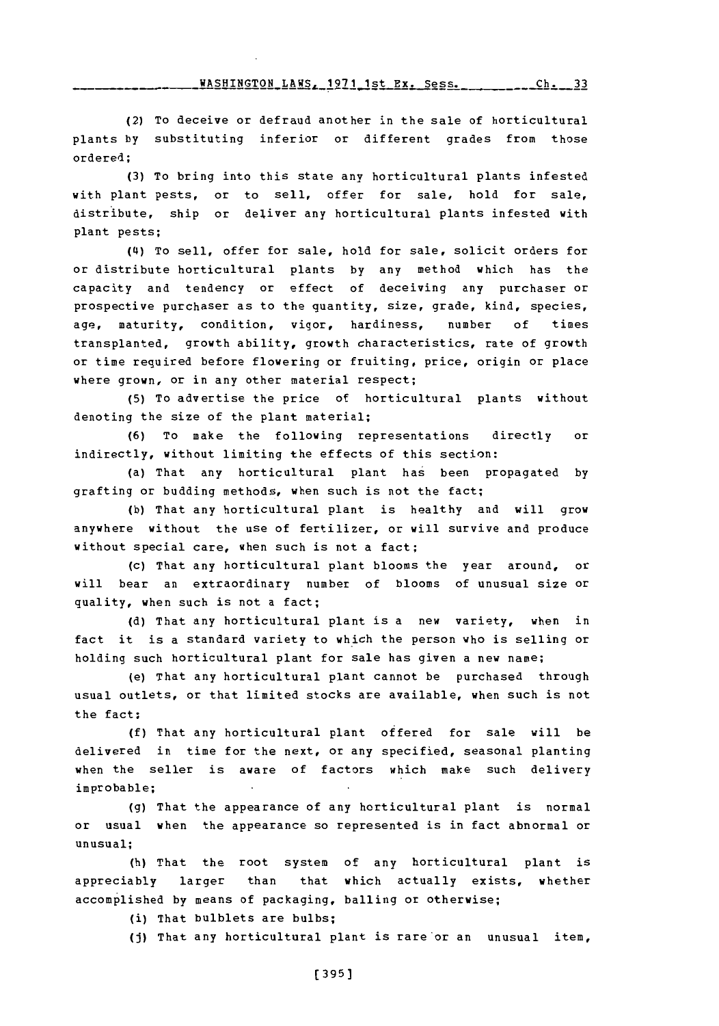WASHINGTON LAWS, **1971** ist Ex. Sess.

(2) To deceive or defraud another in the sale of horticultural plants **by** substituting inferior or different grades from those ordered;

**(3)** To bring into this state any horticultural plants infested with plant pests, or to sell, offer for sale, hold for sale, distribute, ship or deliver any horticultural plants infested with plant pests;

(4i) To sell, offer for sale, hold for sale, solicit orders for or distribute horticultural plants **by** any method which has the capacity and tendency or effect of deceiving any purchaser or prospective purchaser as to the quantity, size, grade, kind, species, age, maturity, condition, vigor, hardiness, number **of** times transplanted, growth ability, growth characteristics, rate of growth or time required before flowering or fruiting, price, origin or place where grown, or in any other material respect;

**(5)** To advertise the price of horticultural plants without denoting the size of the plant material;

**(6)** To make the following representations directly or indirectly, without limiting the effects of this section:

(a) That any horticultural plant has been propagated **by** grafting or budding methods, when such is not the fact;

**(b)** That any horticultural plant is healthy and will grow anywhere without the use of fertilizer, or will survive and produce without special care, when such is not a fact;

(c) That any horticultural plant blooms the year around, or will bear an extraordinary number of blooms of unusual size or quality, when such is not a fact;

**(d)** That any horticultural plant is a new variety, when in fact it is a standard variety to which the person who is selling or holding such horticultural plant for sale has given a new name;

(e) That any horticultural plant cannot be purchased through usual outlets, or that limited stocks are available, when such is not the fact;

**(f)** That any horticultural plant offered for sale will be delivered in time for the next, or any specified, seasonal planting when the seller is aware of factors which make such delivery improbable;

**(g)** That the appearance of any horticultural plant is normal or usual when the appearance so represented is in fact abnormal or unusual;

(h) That the root system of any horticultural plant is appreciably larger than that which actually exists, whether accomplished **by** means of packaging, balling or otherwise;

(i) That bulblets are bulbs;

**(j)** That any horticultural plant is rare or an unusual item,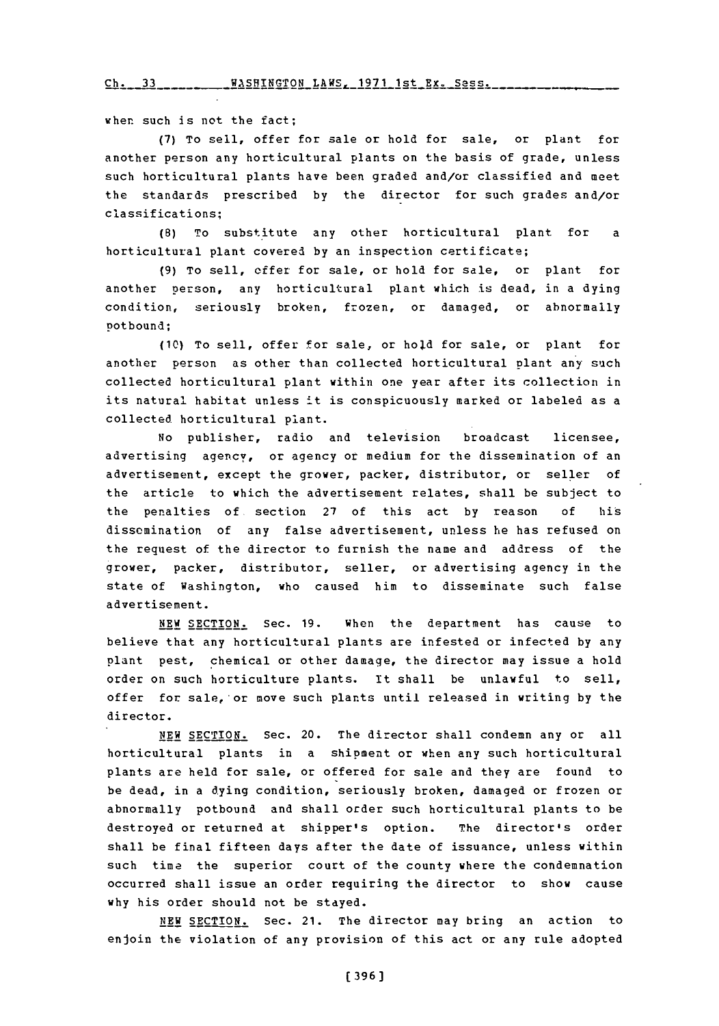when such is not the *fact;*

**(7)** To sell, offer for sale or hold for sale, or plant for another person any horticultural plants on the basis **of** grade, unless such horticultural plants have been graded and/or classified and meet the standards prescribed **by** the director for such grades and/or classifications;

**(8)** To substitute any other horticultural plant for a horticultural plant covered by an inspection certificate;

**(9)** To sell, offer for sale, or hold for sale, or plant for another person, any horticultural plant which is dead, in a dying condition, seriously broken, frozen, or damaged, or abnormally pot bound;

**(10)** To sell, offer for sale, or hold for sale, or plant for another person as other than collected horticultural plant any such collected horticultural plant within one year after its collection in its natural habitat unless it is conspicuously marked or labeled as a collected horticultural plant.

No publisher, radio and television broadcast licensee, advertising agency, or agency or medium for the dissemination of an advertisement, except the grower, packer, distributor, or seller of the article to which the advertisement relates, shall be subject to the penalties of section **27** of this act **by** reason **of** his dissemination of any false advertisement, unless he has refused on the request of the director to furnish the name and address of the grower, packer, distributor, seller, or advertising agency in the state of Washington, who caused him to disseminate such false advertisement.

NEW SECTION. Sec. **19.** When the department has cause to believe that any horticultural plants are infested or infected **by** any plant pest, chemical or other damage, the director may issue a hold order on such horticulture plants. It shall be unlawful to sell, offer for sale,-or move such plants until released in writing **by** the director.

**NEW SECTION.** Sec. 20. The director shall condemn any or all horticultural plants in a shipment or when any such horticultural plants are held for sale, or offered for sale and they are found to be dead, in a dying condition, seriously broken, damaged or frozen or abnormally potbound and shall order such horticultural plants to be destroyed or returned at shipper's option. The director's order shall be final fifteen days after the date of issuance, unless within such time the superior court of the county where the condemnation occurred shall issue an order requiring the director to show cause why his order should not be stayed.

**NEW SECTION.** Sec. 21. The director may bring an action to enjoin the violation of any provision of this act or any rule adopted

**(396)**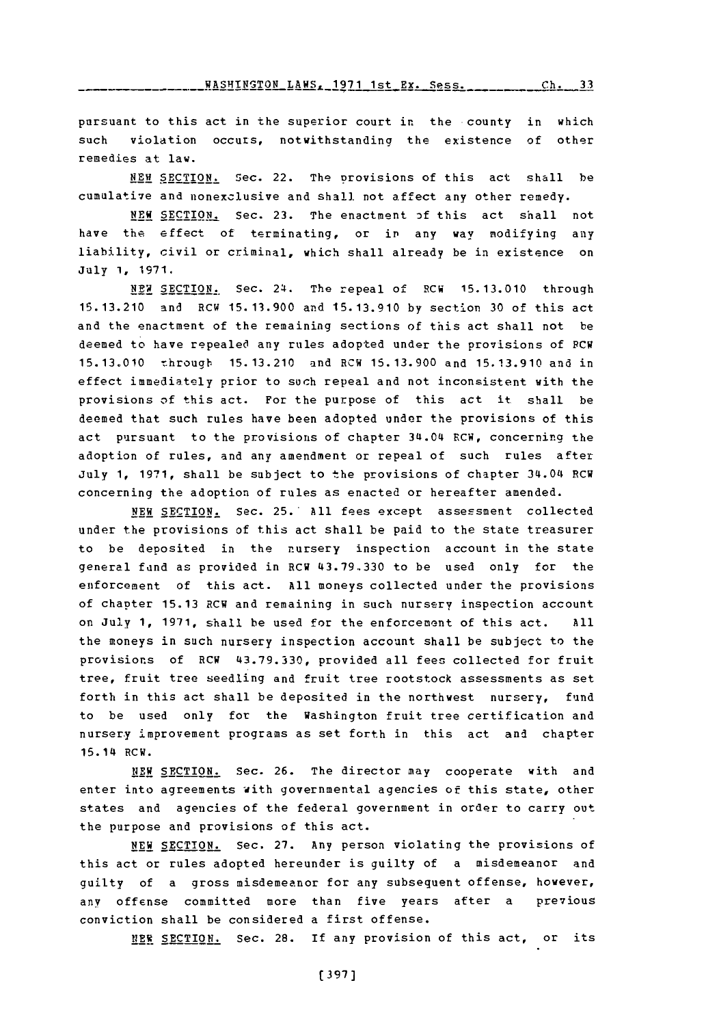WASHINGTON LAWS, 1971 1st Ex. Sess. \_\_\_\_\_\_\_\_ Ch. 33

pursuant to this act in the superior court in the county in which such violation occurs, notwithstanding the existence of other remedies at law.

**NEWI SECTION.** Sec. 22. The Drovisions of this act shall be cumulative and nonexclusive and shall. not affect any other remedy.

NEW SECTION. Sec. **23.** The enactment of this act shall not have the effect of terminating, or in any way modifying any liability, civil or criminal, which shall already be in existence on July **1, 1971.**

NEW SECTION.. Sec. 24. The repeal of RCW **15.13.010** through **15.13.210** and RCW **15. 13.900** and **15.13.910 by** section **30** of this act and the enactment of the remaining sections of this act shall not be deemed to have repealed any rules adopted under the provisions of PCW **15.13.010** -nhrougIb **15.13.210** and RCW **15. 13.900** and **15.13.910** and in effect immediately prior to such repeal and not inconsistent with the provisions **of** this act. For the purpose of this act it shall be deemed that such rules have been adopted under the provisions of this act pursuant to the provisions of chapter 34.04 RCW, concerning the adoption of rules, and any amendment or repeal of such rules after July **1, 1971,** shall be subject to the provisions of chapter 34.04 RCW concerning the adoption of rules as enacted or hereafter amended.

NEW SECTION. Sec. 25. All fees except assessment collected under the provisions of this act shall be paid to the state treasurer to be deposited in the nursery inspection account in the state general fand as provided in RCW **43.79.330** to be used only for the enforcement of this act. **All** moneys collected under the provisions of chapter **15.13** RCW and remaining in such nursery inspection account on July **1, 1971,** shall be used for the enforcement of this act. **All** the moneys in such nursery inspection account shall be subject to the provisions of RCW **43.79.330,** provided all fees collected for fruit tree, fruit tree seedling and fruit tree rootstock assessments as set forth in this act shall be deposited in the northwest nursery, fund to be used only for the Washington fruit tree certification and nursery improvement programs as set forth in this act and chapter 15.14 RCW.

**NEW SECTION.** Sec. **26.** The director may cooperate with and enter into agreements with governmental agencies of this state, other states and agencies of the federal government in order to carry out the purpose and provisions of this act.

**NEW SECTION.** Sec. **27.** Any person violating the provisions of this act or rules adopted hereunder is guilty of a misdemeanor and guilty of a gross misdemeanor for any subsequent offense, however, any offense committed more than five years after a previous conviction shall be considered a first offense.

**NEW SECTION.** Sec. 28. If any provision of this act, or its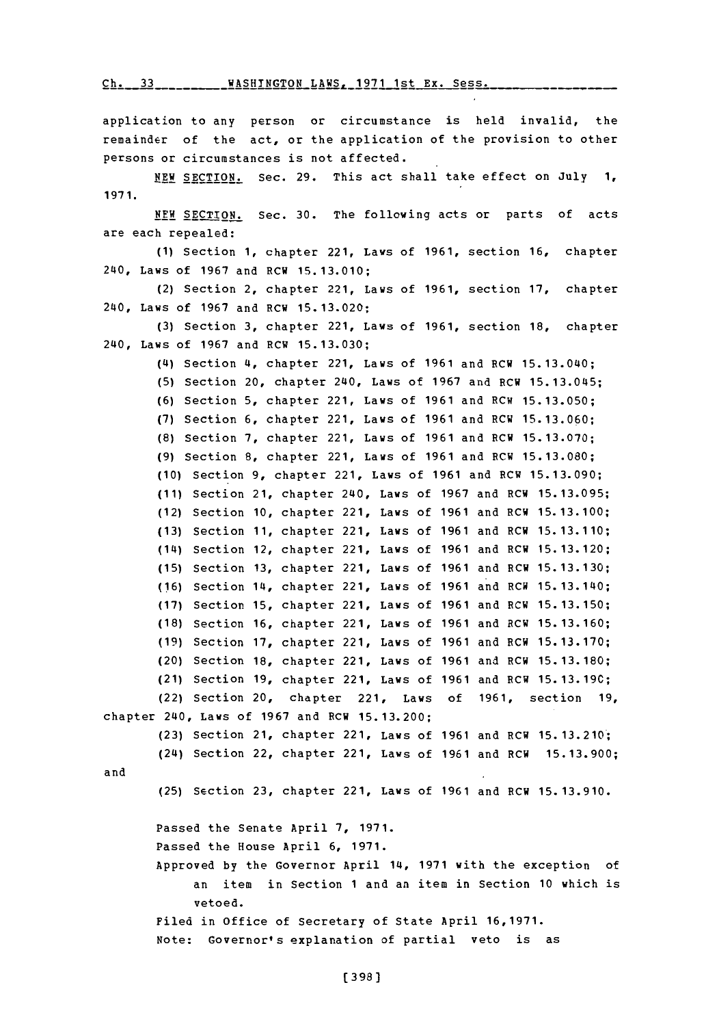Ch. **33WASHTNGTOR** LAWS. **1971** 1st **Ex.** Sess. **Ch. 33**

application to any person or circumstance is held invalid, the remainder of the act, or the application of the provision to other persons or circumstances is not affected. **NEW SECTION.** Sec. **29.** This act shall take effect on July **1, 1971.** NEW, **SECTION.** Sec. **30.** The following acts or parts of acts are each repealed: **(1)** Section **1,** chapter 221, Laws of **1961,** section **16,** chapter 240, Laws of **1967** and RCW **15.13.010;** (2) Section 2, chapter 221, Laws of **1961,** section **17,** chapter 240, Laws of **1967** and RCW **15.13.020; (3)** Section **3,** chapter 221, Laws of **1961,** section **18,** chapter 240, Laws of **1967** and RCW **15.13.030;** (4) Section 4, chapter 221, Laws of **1961** and RCW 15. 13.040; **(5)** Section 20, chapter 240, Laws of **1967** and RCW **15.13.045; (6)** Section **5,** chapter 221, Laws of **1961** and RCW **15.13.050; (7)** Section **6,** chapter 221, Laws of **1961** and RCW **15.13.060; (8)** Section **7,** chapter 221, Laws of **1961** and RCW **15.13.070; (9)** Section **8,** chapter 221, Laws of **1961** and RCW **15.13.080; (10)** Section **9,** chapter 221, Laws of **1961** and RCW **15.13.090;** (11) Section 21, chapter 240, Laws of 1967 and RCW 15.13.095; (12) Section 10, chapter 221, Laws of 1961 and RCW 15.13.100; **(13)** Section 11, chapter 221, Laws of 1961 and RCW 15.13.110; Section 12, chapter 221, Laws of **1961** and RCW **15. 13.120;** (14) Section **13,** chapter 221, Laws of **1961** and RCW **15.13.130; (15)** (16) Section 14, chapter 221, Laws of 1961 and RCW 15.13.140; Section **15,** chapter 221, Laws of **1961** and RCW **15. 13.150; (17)** Section **16,** chapter 221, Laws of **1961** and RCW **15. 13.160; (18)** Section **17,** chapter 221, Laws of **1961** and RCW **15. 13.170; (19)** (20) Section 18, chapter 221, Laws of 1961 and RCW 15.13.180; (21) Section 19, chapter 221, Laws of 1961 and RCW 15.13.19C; (22) Section 20, chapter 221, Laws of 1961, section 19<sub>4</sub> chapter 240, Laws of **1967** and RCW **15.13.200; (23)** Section 21, chapter 221, Laws of **1961** and RCW **15. 13.210;** (24) Section 22, chapter 221, Laws of **1961** and RCW **15.13.900;** and **(25)** Section **23,** chapter 221, Laws of **1961** and ECH **15. 13.910.** Passed the Senate April **7, 1971.** Passed the House April **6, 1971.** Approved **by** the Governor April 14, **1971** with the exception of an item in Section **1** and an item in Section **10** which is vetoed. Filed in Office of Secretary of State April **16,1971.** Note: Governor's explanation of partial veto is as